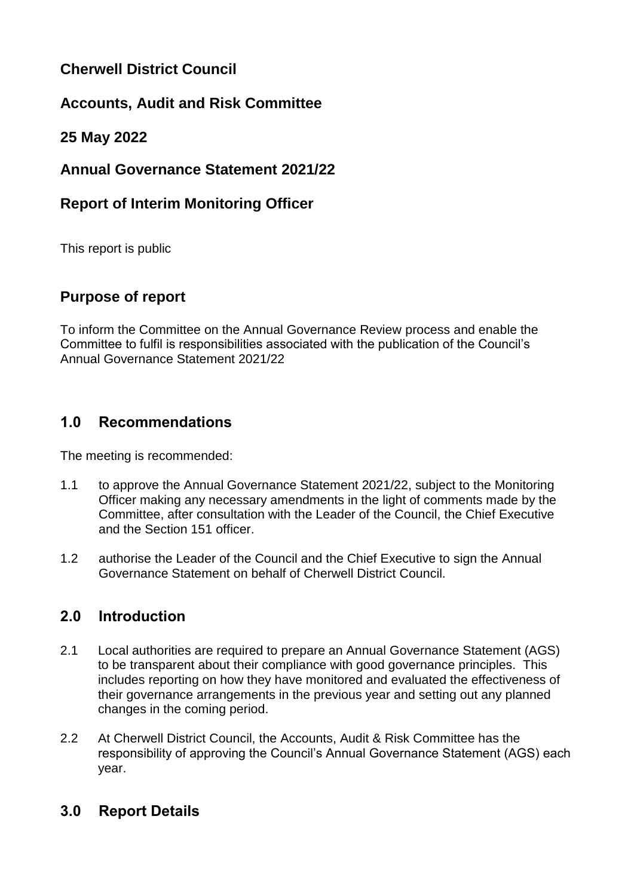# **Cherwell District Council**

# **Accounts, Audit and Risk Committee**

## **25 May 2022**

## **Annual Governance Statement 2021/22**

## **Report of Interim Monitoring Officer**

This report is public

## **Purpose of report**

To inform the Committee on the Annual Governance Review process and enable the Committee to fulfil is responsibilities associated with the publication of the Council's Annual Governance Statement 2021/22

# **1.0 Recommendations**

The meeting is recommended:

- 1.1 to approve the Annual Governance Statement 2021/22, subject to the Monitoring Officer making any necessary amendments in the light of comments made by the Committee, after consultation with the Leader of the Council, the Chief Executive and the Section 151 officer.
- 1.2 authorise the Leader of the Council and the Chief Executive to sign the Annual Governance Statement on behalf of Cherwell District Council.

## **2.0 Introduction**

- 2.1 Local authorities are required to prepare an Annual Governance Statement (AGS) to be transparent about their compliance with good governance principles. This includes reporting on how they have monitored and evaluated the effectiveness of their governance arrangements in the previous year and setting out any planned changes in the coming period.
- 2.2 At Cherwell District Council, the Accounts, Audit & Risk Committee has the responsibility of approving the Council's Annual Governance Statement (AGS) each year.

# **3.0 Report Details**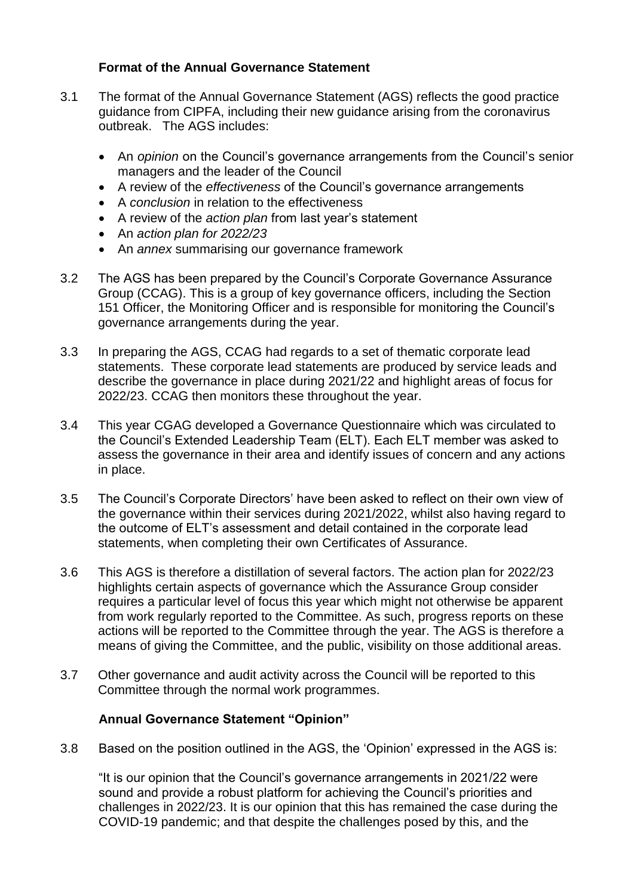#### **Format of the Annual Governance Statement**

- 3.1 The format of the Annual Governance Statement (AGS) reflects the good practice guidance from CIPFA, including their new guidance arising from the coronavirus outbreak. The AGS includes:
	- An *opinion* on the Council's governance arrangements from the Council's senior managers and the leader of the Council
	- A review of the *effectiveness* of the Council's governance arrangements
	- A *conclusion* in relation to the effectiveness
	- A review of the *action plan* from last year's statement
	- An *action plan for 2022/23*
	- An *annex* summarising our governance framework
- 3.2 The AGS has been prepared by the Council's Corporate Governance Assurance Group (CCAG). This is a group of key governance officers, including the Section 151 Officer, the Monitoring Officer and is responsible for monitoring the Council's governance arrangements during the year.
- 3.3 In preparing the AGS, CCAG had regards to a set of thematic corporate lead statements. These corporate lead statements are produced by service leads and describe the governance in place during 2021/22 and highlight areas of focus for 2022/23. CCAG then monitors these throughout the year.
- 3.4 This year CGAG developed a Governance Questionnaire which was circulated to the Council's Extended Leadership Team (ELT). Each ELT member was asked to assess the governance in their area and identify issues of concern and any actions in place.
- 3.5 The Council's Corporate Directors' have been asked to reflect on their own view of the governance within their services during 2021/2022, whilst also having regard to the outcome of ELT's assessment and detail contained in the corporate lead statements, when completing their own Certificates of Assurance.
- 3.6 This AGS is therefore a distillation of several factors. The action plan for 2022/23 highlights certain aspects of governance which the Assurance Group consider requires a particular level of focus this year which might not otherwise be apparent from work regularly reported to the Committee. As such, progress reports on these actions will be reported to the Committee through the year. The AGS is therefore a means of giving the Committee, and the public, visibility on those additional areas.
- 3.7 Other governance and audit activity across the Council will be reported to this Committee through the normal work programmes.

#### **Annual Governance Statement "Opinion"**

3.8 Based on the position outlined in the AGS, the 'Opinion' expressed in the AGS is:

"It is our opinion that the Council's governance arrangements in 2021/22 were sound and provide a robust platform for achieving the Council's priorities and challenges in 2022/23. It is our opinion that this has remained the case during the COVID-19 pandemic; and that despite the challenges posed by this, and the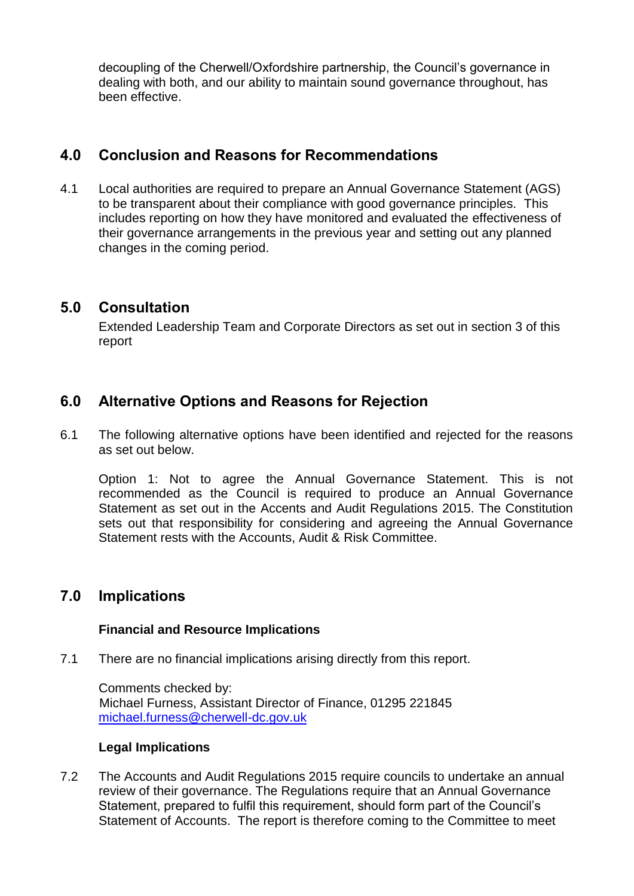decoupling of the Cherwell/Oxfordshire partnership, the Council's governance in dealing with both, and our ability to maintain sound governance throughout, has been effective.

### **4.0 Conclusion and Reasons for Recommendations**

4.1 Local authorities are required to prepare an Annual Governance Statement (AGS) to be transparent about their compliance with good governance principles. This includes reporting on how they have monitored and evaluated the effectiveness of their governance arrangements in the previous year and setting out any planned changes in the coming period.

### **5.0 Consultation**

Extended Leadership Team and Corporate Directors as set out in section 3 of this report

## **6.0 Alternative Options and Reasons for Rejection**

6.1 The following alternative options have been identified and rejected for the reasons as set out below.

Option 1: Not to agree the Annual Governance Statement. This is not recommended as the Council is required to produce an Annual Governance Statement as set out in the Accents and Audit Regulations 2015. The Constitution sets out that responsibility for considering and agreeing the Annual Governance Statement rests with the Accounts, Audit & Risk Committee.

### **7.0 Implications**

#### **Financial and Resource Implications**

7.1 There are no financial implications arising directly from this report.

Comments checked by: Michael Furness, Assistant Director of Finance, 01295 221845 [michael.furness@cherwell-dc.gov.uk](mailto:michael.furness@cherwell-dc.gov.uk)

#### **Legal Implications**

7.2 The Accounts and Audit Regulations 2015 require councils to undertake an annual review of their governance. The Regulations require that an Annual Governance Statement, prepared to fulfil this requirement, should form part of the Council's Statement of Accounts. The report is therefore coming to the Committee to meet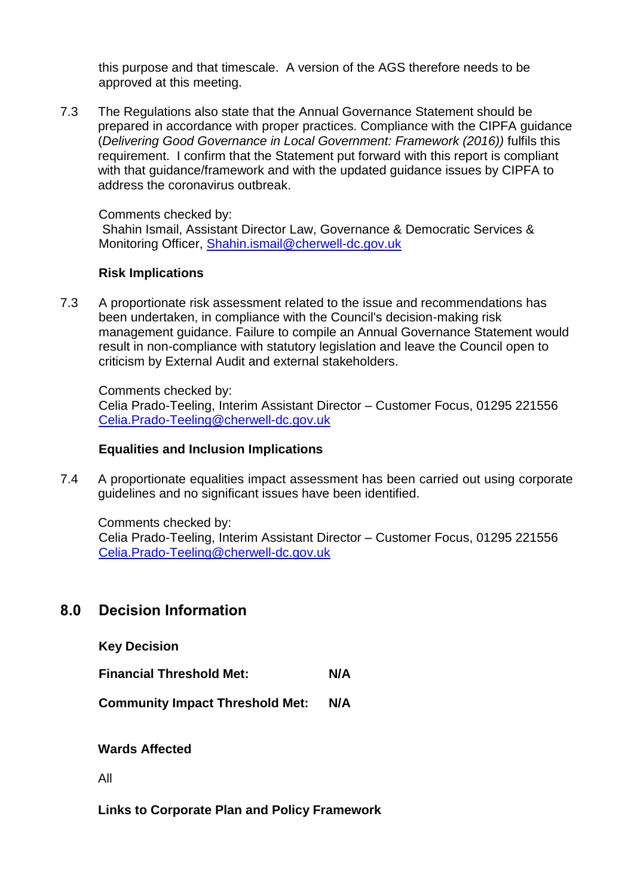this purpose and that timescale. A version of the AGS therefore needs to be approved at this meeting.

7.3 The Regulations also state that the Annual Governance Statement should be prepared in accordance with proper practices. Compliance with the CIPFA guidance (*Delivering Good Governance in Local Government: Framework (2016))* fulfils this requirement. I confirm that the Statement put forward with this report is compliant with that guidance/framework and with the updated guidance issues by CIPFA to address the coronavirus outbreak.

Comments checked by:

Shahin Ismail, Assistant Director Law, Governance & Democratic Services & Monitoring Officer, [Shahin.ismail@cherwell-dc.gov.uk](mailto:Shahin.ismail@cherwell-dc.gov.uk)

#### **Risk Implications**

7.3 A proportionate risk assessment related to the issue and recommendations has been undertaken, in compliance with the Council's decision-making risk management guidance. Failure to compile an Annual Governance Statement would result in non-compliance with statutory legislation and leave the Council open to criticism by External Audit and external stakeholders.

Comments checked by:

Celia Prado-Teeling, Interim Assistant Director – Customer Focus, 01295 221556 [Celia.Prado-Teeling@cherwell-dc.gov.uk](mailto:Celia.Prado-Teeling@cherwell-dc.gov.uk)

#### **Equalities and Inclusion Implications**

7.4 A proportionate equalities impact assessment has been carried out using corporate guidelines and no significant issues have been identified.

Comments checked by: Celia Prado-Teeling, Interim Assistant Director – Customer Focus, 01295 221556 [Celia.Prado-Teeling@cherwell-dc.gov.uk](mailto:Celia.Prado-Teeling@cherwell-dc.gov.uk)

### **8.0 Decision Information**

**Key Decision**

**Financial Threshold Met: N/A**

**Community Impact Threshold Met: N/A**

**Wards Affected**

All

**Links to Corporate Plan and Policy Framework**